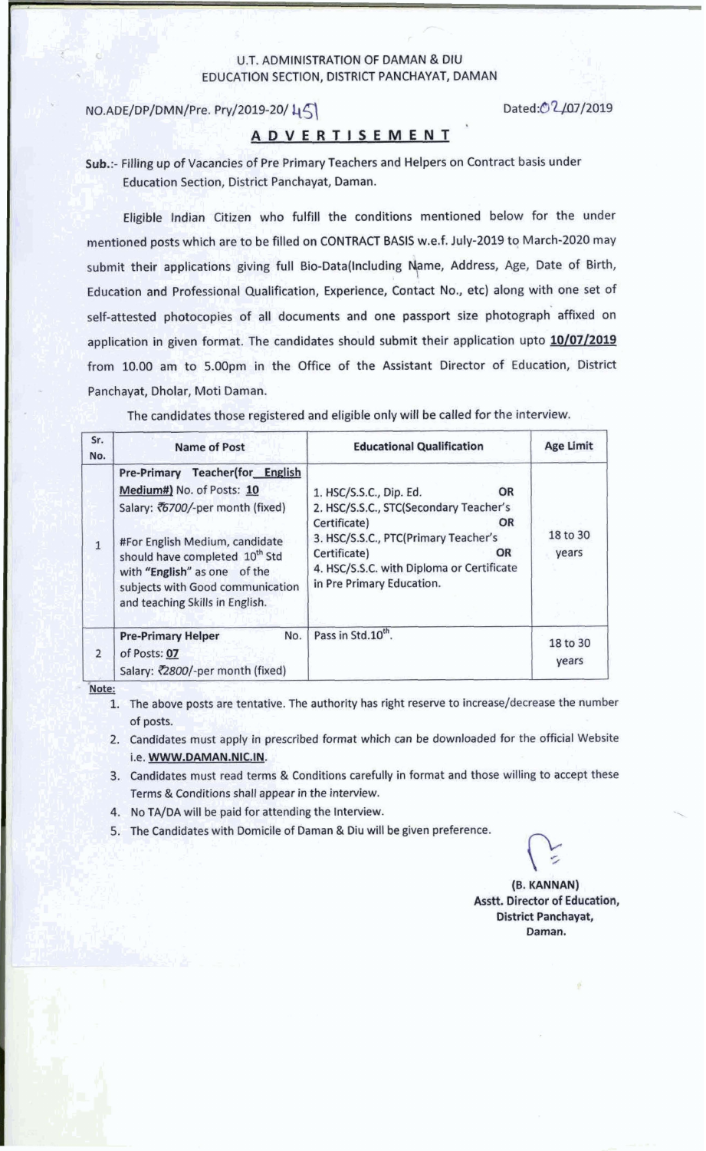#### U.T. ADMINISTRATION OF DAMAN & DIU EDUCATION SECTION, DISTRICT PANCHAYAT, DAMAN

### NO.ADE/DP/DMN/Pre. Pry/2019-20/45

Dated:02/07/2019

## **ADVERTISEMENT**

Sub.:- Filling up of Vacancies of Pre Primary Teachers and Helpers on Contract basis under Education Section, District Panchayat, Daman.

Eligible Indian Citizen who fulfill the conditions mentioned below for the under mentioned posts which are to be filled on CONTRACT BASIS w.e.f. July-2019 to March-2020 may submit their applications giving full Bio-Data(Including Name, Address, Age, Date of Birth, Education and Professional Qualification, Experience, Contact No., etc) along with one set of self-attested photocopies of all documents and one passport size photograph affixed on application in given format. The candidates should submit their application upto 10/07/2019 from 10.00 am to 5.00pm in the Office of the Assistant Director of Education, District Panchayat, Dholar, Moti Daman.

The candidates those registered and eligible only will be called for the interview.

| Sr.<br>No.    | <b>Name of Post</b>                                                                                                                                                                                                                                                                     | <b>Educational Qualification</b>                                                                                                                                                                                                      | <b>Age Limit</b>  |  |
|---------------|-----------------------------------------------------------------------------------------------------------------------------------------------------------------------------------------------------------------------------------------------------------------------------------------|---------------------------------------------------------------------------------------------------------------------------------------------------------------------------------------------------------------------------------------|-------------------|--|
| $\mathbf{1}$  | Pre-Primary Teacher(for English<br>Medium#) No. of Posts: 10<br>Salary: ₹6700/-per month (fixed)<br>#For English Medium, candidate<br>should have completed 10 <sup>th</sup> Std<br>with "English" as one of the<br>subjects with Good communication<br>and teaching Skills in English. | 1. HSC/S.S.C., Dip. Ed.<br>OR<br>2. HSC/S.S.C., STC(Secondary Teacher's<br>Certificate)<br>OR<br>3. HSC/S.S.C., PTC(Primary Teacher's<br>Certificate)<br>OR<br>4. HSC/S.S.C. with Diploma or Certificate<br>in Pre Primary Education. | 18 to 30<br>years |  |
| $\mathcal{P}$ | No.<br><b>Pre-Primary Helper</b><br>of Posts: 07<br>Salary: ₹2800/-per month (fixed)                                                                                                                                                                                                    | Pass in Std.10 <sup>th</sup> .                                                                                                                                                                                                        | 18 to 30<br>years |  |

Note:

1. The above posts are tentative. The authority has right reserve to increase/decrease the number of posts.

2. Candidates must apply in prescribed format which can be downloaded for the official Website i.e. WWW.DAMAN.NIC.IN.

- 3. Candidates must read terms & Conditions carefully in format and those willing to accept these Terms & Conditions shall appear in the interview.
- 4. No TA/DA will be paid for attending the Interview.
- 5. The Candidates with Domicile of Daman & Diu will be given preference.

(B. KANNAN) Asstt. Director of Education, **District Panchayat,** Daman.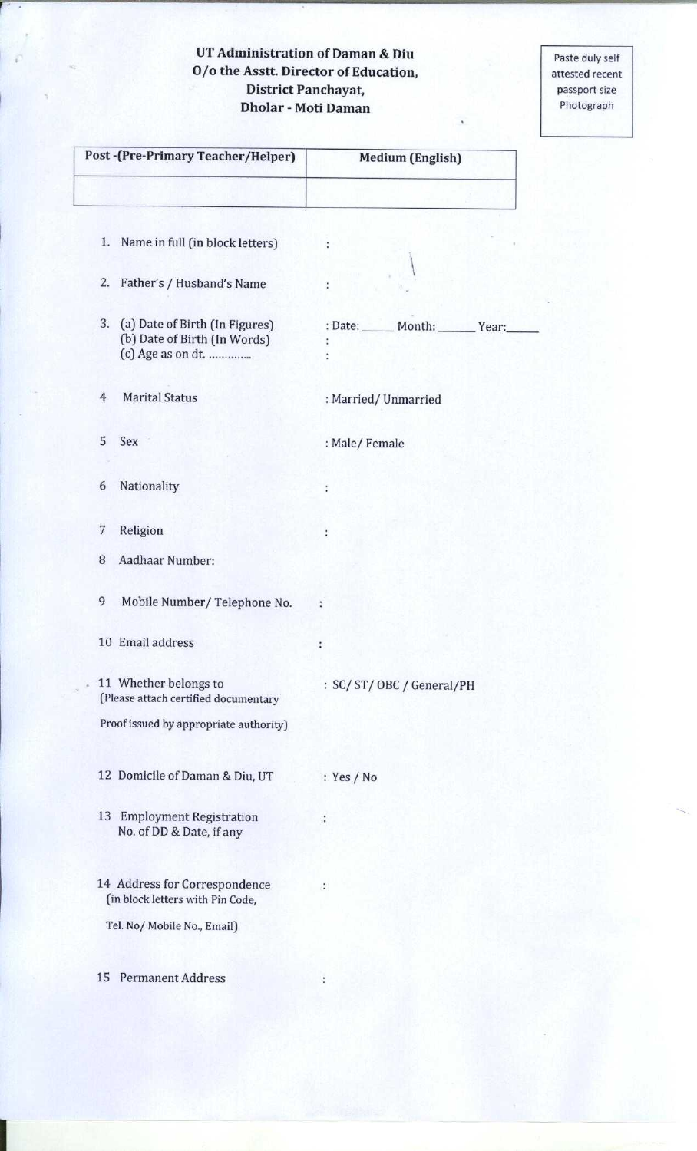## **UT Administration of Daman & Diu O/o the Asstt**. **Director of Education, District Panchayat, Dholar** - **Moti Daman**

Paste duly self attested recent passport size Photograph

| Post -(Pre-Primary Teacher/Helper)                                                        | <b>Medium (English)</b>           |  |  |  |
|-------------------------------------------------------------------------------------------|-----------------------------------|--|--|--|
|                                                                                           |                                   |  |  |  |
| Name in full (in block letters)<br>1.                                                     | ÷                                 |  |  |  |
| Father's / Husband's Name<br>2.                                                           |                                   |  |  |  |
| 3.<br>(a) Date of Birth (In Figures)<br>(b) Date of Birth (In Words)<br>(c) Age as on dt. | : Date: _____ Month: _____ Year:_ |  |  |  |
| <b>Marital Status</b><br>$\overline{4}$                                                   | : Married/Unmarried               |  |  |  |
| 5<br>Sex                                                                                  | : Male/Female                     |  |  |  |
| Nationality<br>6                                                                          | t                                 |  |  |  |
| 7<br>Religion                                                                             |                                   |  |  |  |
| Aadhaar Number:<br>8                                                                      |                                   |  |  |  |
| 9<br>Mobile Number/Telephone No.                                                          | ÷                                 |  |  |  |
| 10 Email address                                                                          | $\ddot{\cdot}$                    |  |  |  |
| 11 Whether belongs to<br>(Please attach certified documentary                             | : SC/ST/OBC/General/PH            |  |  |  |
| Proof issued by appropriate authority)                                                    |                                   |  |  |  |
| 12 Domicile of Daman & Diu, UT                                                            | : $Yes / No$                      |  |  |  |
| 13 Employment Registration<br>No. of DD & Date, if any                                    |                                   |  |  |  |
| 14 Address for Correspondence<br>(in block letters with Pin Code,                         |                                   |  |  |  |
| Tel. No/ Mobile No., Email)                                                               |                                   |  |  |  |
| 15 Permanent Address                                                                      |                                   |  |  |  |
|                                                                                           |                                   |  |  |  |